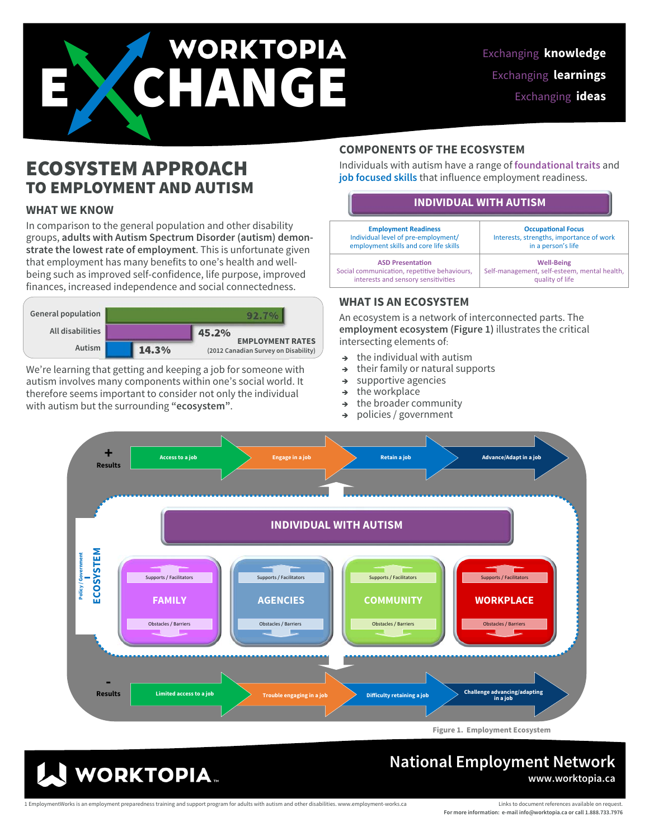# WORKTOPIA

## ECOSYSTEM APPROACH TO EMPLOYMENT AND AUTISM

### **WHAT WE KNOW**

In comparison to the general population and other disability groups, **adults with Autism Spectrum Disorder (autism) demonstrate the lowest rate of employment**. This is unfortunate given that employment has many benefits to one's health and wellbeing such as improved self-confidence, life purpose, improved finances, increased independence and social connectedness.



We're learning that getting and keeping a job for someone with autism involves many components within one's social world. It therefore seems important to consider not only the individual with autism but the surrounding **"ecosystem"**.

### **COMPONENTS OF THE ECOSYSTEM**

Individuals with autism have a range of **foundational traits** and **job focused skills** that influence employment readiness.

### **INDIVIDUAL WITH AUTISM**

| <b>Employment Readiness</b>                  | <b>Occupational Focus</b>                    |
|----------------------------------------------|----------------------------------------------|
| Individual level of pre-employment/          | Interests, strengths, importance of work     |
| employment skills and core life skills       | in a person's life                           |
| <b>ASD Presentation</b>                      | <b>Well-Being</b>                            |
| Social communication, repetitive behaviours, | Self-management, self-esteem, mental health, |
| interests and sensory sensitivities          | quality of life                              |

### **WHAT IS AN ECOSYSTEM**

An ecosystem is a network of interconnected parts. The **employment ecosystem (Figure 1)** illustrates the critical intersecting elements of:

- the individual with autism
- $\rightarrow$  their family or natural supports
- $\rightarrow$  supportive agencies
- $\rightarrow$  the workplace
- $\rightarrow$  the broader community
- → policies / government



### **National Employment Network www.worktopia.ca**

1 EmploymentWorks is an employment preparedness training and support program for adults with autism and other disabilities. www.employment-works.ca

**WORKTOPIA.** 

Links to document references available on request. **For more information: e-mail info@worktopia.ca or call 1.888.733.7976**